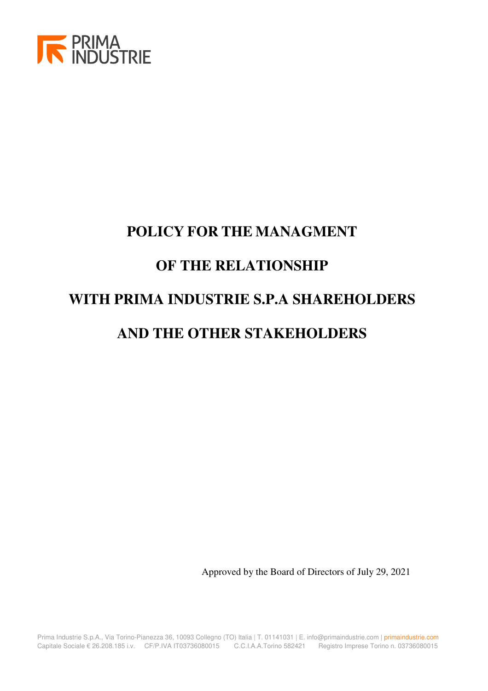

# **POLICY FOR THE MANAGMENT OF THE RELATIONSHIP WITH PRIMA INDUSTRIE S.P.A SHAREHOLDERS AND THE OTHER STAKEHOLDERS**

Approved by the Board of Directors of July 29, 2021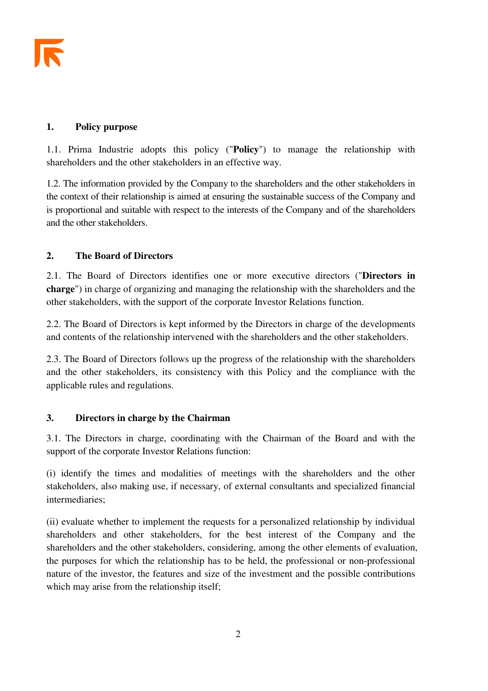#### **1. Policy purpose**

1.1. Prima Industrie adopts this policy ("**Policy**") to manage the relationship with shareholders and the other stakeholders in an effective way.

1.2. The information provided by the Company to the shareholders and the other stakeholders in the context of their relationship is aimed at ensuring the sustainable success of the Company and is proportional and suitable with respect to the interests of the Company and of the shareholders and the other stakeholders.

# **2. The Board of Directors**

2.1. The Board of Directors identifies one or more executive directors ("**Directors in charge**") in charge of organizing and managing the relationship with the shareholders and the other stakeholders, with the support of the corporate Investor Relations function.

2.2. The Board of Directors is kept informed by the Directors in charge of the developments and contents of the relationship intervened with the shareholders and the other stakeholders.

2.3. The Board of Directors follows up the progress of the relationship with the shareholders and the other stakeholders, its consistency with this Policy and the compliance with the applicable rules and regulations.

# **3. Directors in charge by the Chairman**

3.1. The Directors in charge, coordinating with the Chairman of the Board and with the support of the corporate Investor Relations function:

(i) identify the times and modalities of meetings with the shareholders and the other stakeholders, also making use, if necessary, of external consultants and specialized financial intermediaries;

(ii) evaluate whether to implement the requests for a personalized relationship by individual shareholders and other stakeholders, for the best interest of the Company and the shareholders and the other stakeholders, considering, among the other elements of evaluation, the purposes for which the relationship has to be held, the professional or non-professional nature of the investor, the features and size of the investment and the possible contributions which may arise from the relationship itself;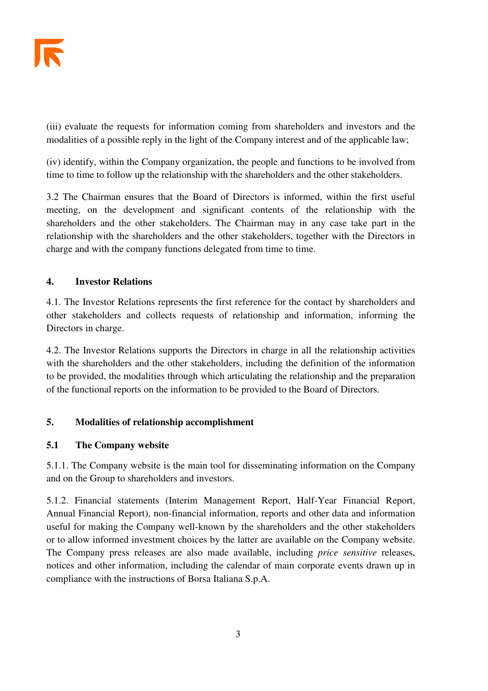(iii) evaluate the requests for information coming from shareholders and investors and the modalities of a possible reply in the light of the Company interest and of the applicable law;

(iv) identify, within the Company organization, the people and functions to be involved from time to time to follow up the relationship with the shareholders and the other stakeholders.

3.2 The Chairman ensures that the Board of Directors is informed, within the first useful meeting, on the development and significant contents of the relationship with the shareholders and the other stakeholders. The Chairman may in any case take part in the relationship with the shareholders and the other stakeholders, together with the Directors in charge and with the company functions delegated from time to time.

## **4. Investor Relations**

4.1. The Investor Relations represents the first reference for the contact by shareholders and other stakeholders and collects requests of relationship and information, informing the Directors in charge.

4.2. The Investor Relations supports the Directors in charge in all the relationship activities with the shareholders and the other stakeholders, including the definition of the information to be provided, the modalities through which articulating the relationship and the preparation of the functional reports on the information to be provided to the Board of Directors.

# **5. Modalities of relationship accomplishment**

#### **5.1 The Company website**

5.1.1. The Company website is the main tool for disseminating information on the Company and on the Group to shareholders and investors.

5.1.2. Financial statements (Interim Management Report, Half-Year Financial Report, Annual Financial Report), non-financial information, reports and other data and information useful for making the Company well-known by the shareholders and the other stakeholders or to allow informed investment choices by the latter are available on the Company website. The Company press releases are also made available, including *price sensitive* releases, notices and other information, including the calendar of main corporate events drawn up in compliance with the instructions of Borsa Italiana S.p.A.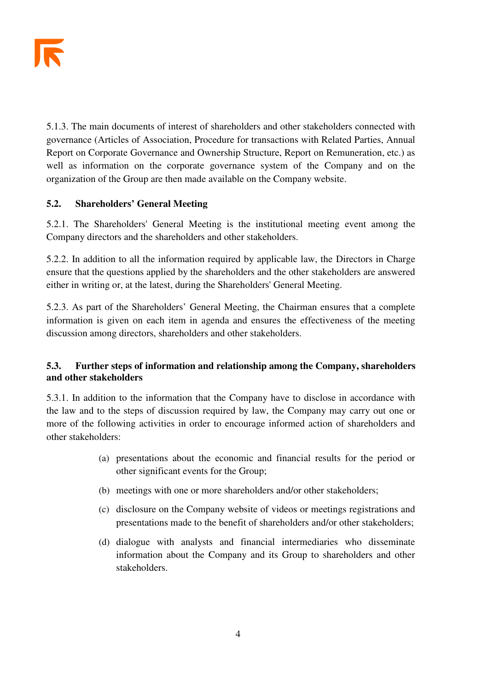5.1.3. The main documents of interest of shareholders and other stakeholders connected with governance (Articles of Association, Procedure for transactions with Related Parties, Annual Report on Corporate Governance and Ownership Structure, Report on Remuneration, etc.) as well as information on the corporate governance system of the Company and on the organization of the Group are then made available on the Company website.

# **5.2. Shareholders' General Meeting**

5.2.1. The Shareholders' General Meeting is the institutional meeting event among the Company directors and the shareholders and other stakeholders.

5.2.2. In addition to all the information required by applicable law, the Directors in Charge ensure that the questions applied by the shareholders and the other stakeholders are answered either in writing or, at the latest, during the Shareholders' General Meeting.

5.2.3. As part of the Shareholders' General Meeting, the Chairman ensures that a complete information is given on each item in agenda and ensures the effectiveness of the meeting discussion among directors, shareholders and other stakeholders.

# **5.3. Further steps of information and relationship among the Company, shareholders and other stakeholders**

5.3.1. In addition to the information that the Company have to disclose in accordance with the law and to the steps of discussion required by law, the Company may carry out one or more of the following activities in order to encourage informed action of shareholders and other stakeholders:

- (a) presentations about the economic and financial results for the period or other significant events for the Group;
- (b) meetings with one or more shareholders and/or other stakeholders;
- (c) disclosure on the Company website of videos or meetings registrations and presentations made to the benefit of shareholders and/or other stakeholders;
- (d) dialogue with analysts and financial intermediaries who disseminate information about the Company and its Group to shareholders and other stakeholders.